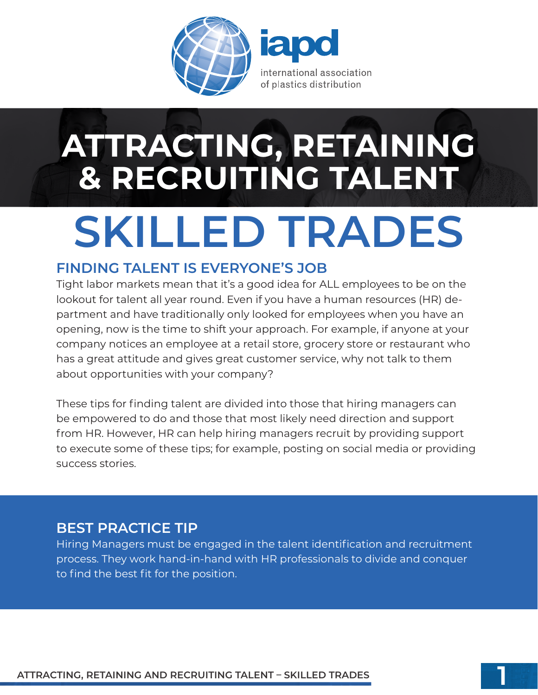

# **SKILLED TRADES ATTRACTING, RETAINING & RECRUITING TALENT**

### **FINDING TALENT IS EVERYONE'S JOB**

Tight labor markets mean that it's a good idea for ALL employees to be on the lookout for talent all year round. Even if you have a human resources (HR) department and have traditionally only looked for employees when you have an opening, now is the time to shift your approach. For example, if anyone at your company notices an employee at a retail store, grocery store or restaurant who has a great attitude and gives great customer service, why not talk to them about opportunities with your company?

These tips for finding talent are divided into those that hiring managers can be empowered to do and those that most likely need direction and support from HR. However, HR can help hiring managers recruit by providing support to execute some of these tips; for example, posting on social media or providing success stories.

### **BEST PRACTICE TIP**

Hiring Managers must be engaged in the talent identification and recruitment process. They work hand-in-hand with HR professionals to divide and conquer to find the best fit for the position.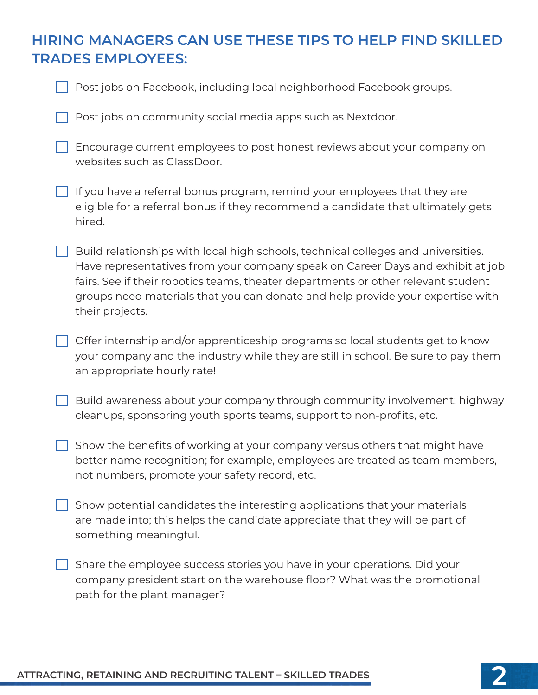### **HIRING MANAGERS CAN USE THESE TIPS TO HELP FIND SKILLED TRADES EMPLOYEES:**

| Post jobs on Facebook, including local neighborhood Facebook groups. |  |  |
|----------------------------------------------------------------------|--|--|
|                                                                      |  |  |

 $\vert \ \vert$  Post jobs on community social media apps such as Nextdoor.

Encourage current employees to post honest reviews about your company on websites such as GlassDoor.

 $\Box$  If you have a referral bonus program, remind your employees that they are eligible for a referral bonus if they recommend a candidate that ultimately gets hired.

 $\Box$  Build relationships with local high schools, technical colleges and universities. Have representatives from your company speak on Career Days and exhibit at job fairs. See if their robotics teams, theater departments or other relevant student groups need materials that you can donate and help provide your expertise with their projects.

Offer internship and/or apprenticeship programs so local students get to know your company and the industry while they are still in school. Be sure to pay them an appropriate hourly rate!

Build awareness about your company through community involvement: highway cleanups, sponsoring youth sports teams, support to non-profits, etc.

Show the benefits of working at your company versus others that might have better name recognition; for example, employees are treated as team members, not numbers, promote your safety record, etc.

 $\Box$  Show potential candidates the interesting applications that your materials are made into; this helps the candidate appreciate that they will be part of something meaningful.

 $\Box$  Share the employee success stories you have in your operations. Did your company president start on the warehouse floor? What was the promotional path for the plant manager?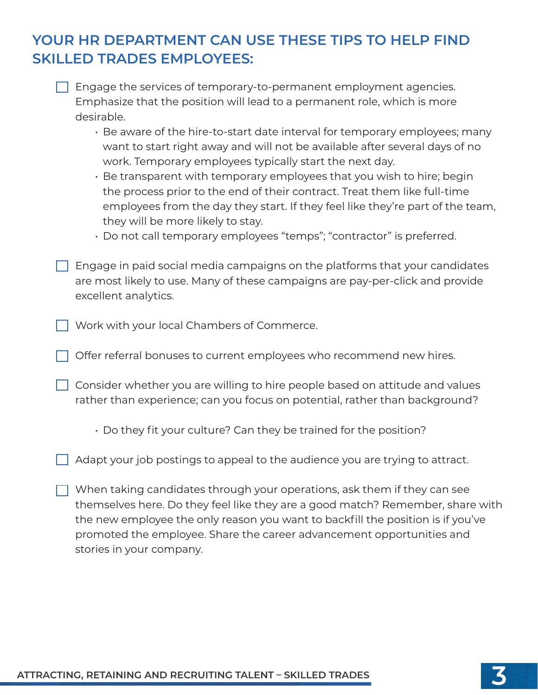## **YOUR HR DEPARTMENT CAN USE THESE TIPS TO HELP FIND SKILLED TRADES EMPLOYEES:**

 $\Box$  Engage the services of temporary-to-permanent employment agencies. Emphasize that the position will lead to a permanent role, which is more desirable.

- Be aware of the hire-to-start date interval for temporary employees; many want to start right away and will not be available after several days of no work. Temporary employees typically start the next day.
- Be transparent with temporary employees that you wish to hire; begin the process prior to the end of their contract. Treat them like full-time employees from the day they start. If they feel like they're part of the team, they will be more likely to stay.
- Do not call temporary employees "temps"; "contractor" is preferred.
- Engage in paid social media campaigns on the platforms that your candidates are most likely to use. Many of these campaigns are pay-per-click and provide excellent analytics.
- Work with your local Chambers of Commerce.
- $\Box$  Offer referral bonuses to current employees who recommend new hires.
- $\Box$  Consider whether you are willing to hire people based on attitude and values rather than experience; can you focus on potential, rather than background?
	- Do they fit your culture? Can they be trained for the position?
- $\Box$  Adapt your job postings to appeal to the audience you are trying to attract.
- $\Box$  When taking candidates through your operations, ask them if they can see themselves here. Do they feel like they are a good match? Remember, share with the new employee the only reason you want to backfill the position is if you've promoted the employee. Share the career advancement opportunities and stories in your company.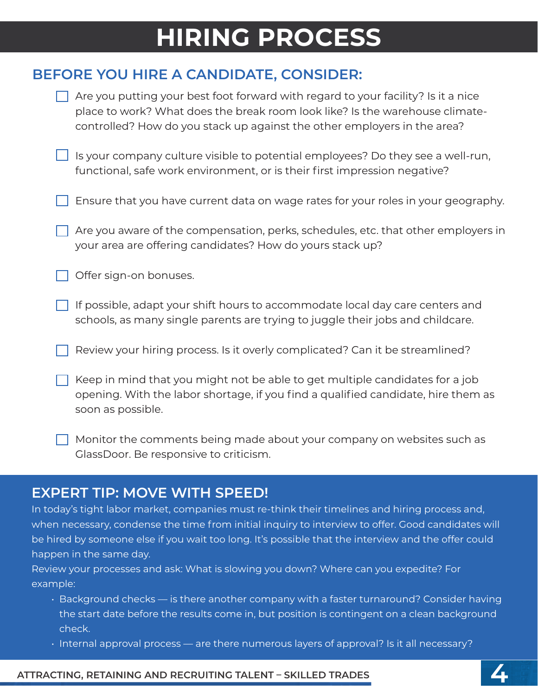# **HIRING PROCESS**

### **BEFORE YOU HIRE A CANDIDATE, CONSIDER:**

| Are you putting your best foot forward with regard to your facility? Is it a nice<br>place to work? What does the break room look like? Is the warehouse climate-<br>controlled? How do you stack up against the other employers in the area? |
|-----------------------------------------------------------------------------------------------------------------------------------------------------------------------------------------------------------------------------------------------|
| Is your company culture visible to potential employees? Do they see a well-run,<br>functional, safe work environment, or is their first impression negative?                                                                                  |
| Ensure that you have current data on wage rates for your roles in your geography.                                                                                                                                                             |
| Are you aware of the compensation, perks, schedules, etc. that other employers in<br>your area are offering candidates? How do yours stack up?                                                                                                |
| Offer sign-on bonuses.                                                                                                                                                                                                                        |
| If possible, adapt your shift hours to accommodate local day care centers and<br>schools, as many single parents are trying to juggle their jobs and childcare.                                                                               |
| Review your hiring process. Is it overly complicated? Can it be streamlined?                                                                                                                                                                  |
| Keep in mind that you might not be able to get multiple candidates for a job<br>opening. With the labor shortage, if you find a qualified candidate, hire them as<br>soon as possible.                                                        |
| Monitor the comments being made about your company on websites such as<br>GlassDoor. Be responsive to criticism.                                                                                                                              |

### **EXPERT TIP: MOVE WITH SPEED!**

In today's tight labor market, companies must re-think their timelines and hiring process and, when necessary, condense the time from initial inquiry to interview to offer. Good candidates will be hired by someone else if you wait too long. It's possible that the interview and the offer could happen in the same day.

Review your processes and ask: What is slowing you down? Where can you expedite? For example:

- Background checks is there another company with a faster turnaround? Consider having the start date before the results come in, but position is contingent on a clean background check.
- Internal approval process are there numerous layers of approval? Is it all necessary?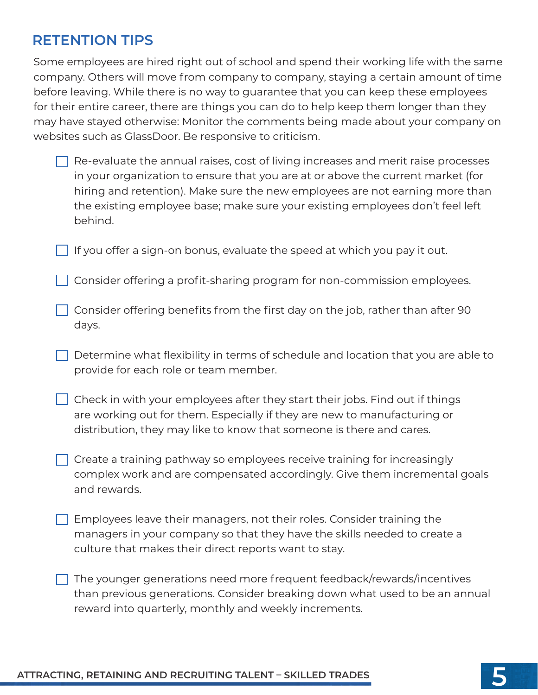### **RETENTION TIPS**

Some employees are hired right out of school and spend their working life with the same company. Others will move from company to company, staying a certain amount of time before leaving. While there is no way to guarantee that you can keep these employees for their entire career, there are things you can do to help keep them longer than they may have stayed otherwise: Monitor the comments being made about your company on websites such as GlassDoor. Be responsive to criticism.

- $\Box$  Re-evaluate the annual raises, cost of living increases and merit raise processes in your organization to ensure that you are at or above the current market (for hiring and retention). Make sure the new employees are not earning more than the existing employee base; make sure your existing employees don't feel left behind.
- If you offer a sign-on bonus, evaluate the speed at which you pay it out.
- Consider offering a profit-sharing program for non-commission employees.
- $\Box$  Consider offering benefits from the first day on the job, rather than after 90 days.
- $\Box$  Determine what flexibility in terms of schedule and location that you are able to provide for each role or team member.
- $\Box$  Check in with your employees after they start their jobs. Find out if things are working out for them. Especially if they are new to manufacturing or distribution, they may like to know that someone is there and cares.
- $\Box$  Create a training pathway so employees receive training for increasingly complex work and are compensated accordingly. Give them incremental goals and rewards.
- **Employees leave their managers, not their roles. Consider training the** managers in your company so that they have the skills needed to create a culture that makes their direct reports want to stay.
	- The younger generations need more frequent feedback/rewards/incentives than previous generations. Consider breaking down what used to be an annual reward into quarterly, monthly and weekly increments.